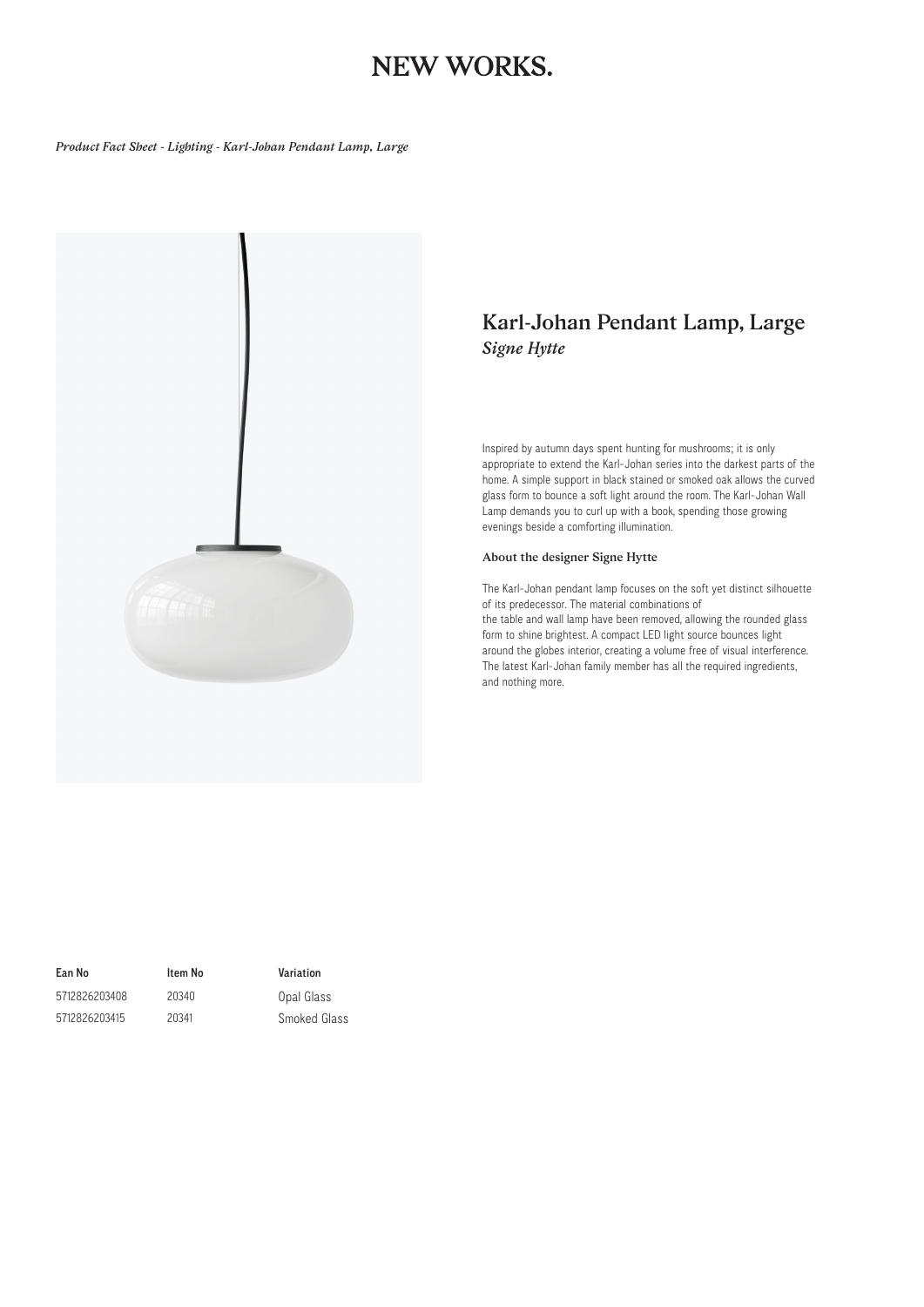## NEW WORKS.

*Product Fact Sheet - Lighting - Karl-Johan Pendant Lamp, Large*



### *Karl-Johan Pendant Lamp, Large Signe Hytte*

Inspired by autumn days spent hunting for mushrooms; it is only appropriate to extend the Karl-Johan series into the darkest parts of the home. A simple support in black stained or smoked oak allows the curved glass form to bounce a soft light around the room. The Karl-Johan Wall Lamp demands you to curl up with a book, spending those growing evenings beside a comforting illumination.

#### *About the designer Signe Hytte*

The Karl-Johan pendant lamp focuses on the soft yet distinct silhouette of its predecessor. The material combinations of the table and wall lamp have been removed, allowing the rounded glass form to shine brightest. A compact LED light source bounces light around the globes interior, creating a volume free of visual interference. The latest Karl-Johan family member has all the required ingredients, and nothing more.

5712826203408 5712826203415

Ean No Item No Variation

20340 20341 Opal Glass Smoked Glass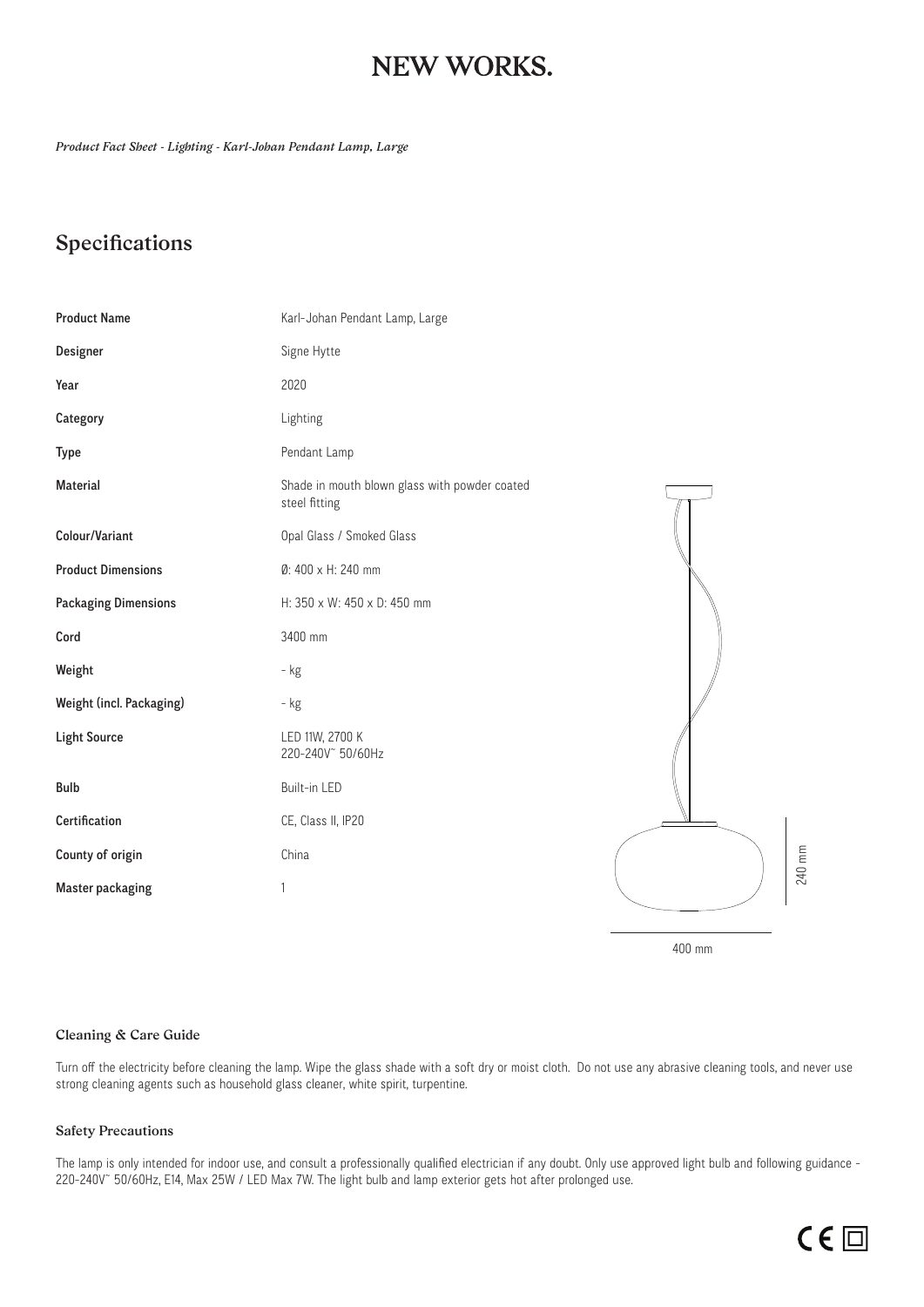## **NEW WORKS.**

*Product Fact Sheet - Lighting - Karl-Johan Pendant Lamp, Large*

### *Specifications*

| <b>Product Name</b>         | Karl-Johan Pendant Lamp, Large                                 |        |
|-----------------------------|----------------------------------------------------------------|--------|
| Designer                    | Signe Hytte                                                    |        |
| Year                        | 2020                                                           |        |
| Category                    | Lighting                                                       |        |
| Type                        | Pendant Lamp                                                   |        |
| Material                    | Shade in mouth blown glass with powder coated<br>steel fitting |        |
| Colour/Variant              | Opal Glass / Smoked Glass                                      |        |
| <b>Product Dimensions</b>   | Ø: 400 x H: 240 mm                                             |        |
| <b>Packaging Dimensions</b> | H: 350 x W: 450 x D: 450 mm                                    |        |
| Cord                        | 3400 mm                                                        |        |
| Weight                      | - kg                                                           |        |
| Weight (incl. Packaging)    | - kg                                                           |        |
| <b>Light Source</b>         | LED 11W, 2700 K<br>220-240V 50/60Hz                            |        |
| <b>Bulb</b>                 | Built-in LED                                                   |        |
| Certification               | CE, Class II, IP20                                             |        |
| County of origin            | China                                                          | 240 mm |
| <b>Master packaging</b>     | 1                                                              |        |

400 mm

#### *Cleaning & Care Guide*

Turn off the electricity before cleaning the lamp. Wipe the glass shade with a soft dry or moist cloth. Do not use any abrasive cleaning tools, and never use strong cleaning agents such as household glass cleaner, white spirit, turpentine.

### *Safety Precautions*

The lamp is only intended for indoor use, and consult a professionally qualified electrician if any doubt. Only use approved light bulb and following guidance -220-240V~ 50/60Hz, E14, Max 25W / LED Max 7W. The light bulb and lamp exterior gets hot after prolonged use.